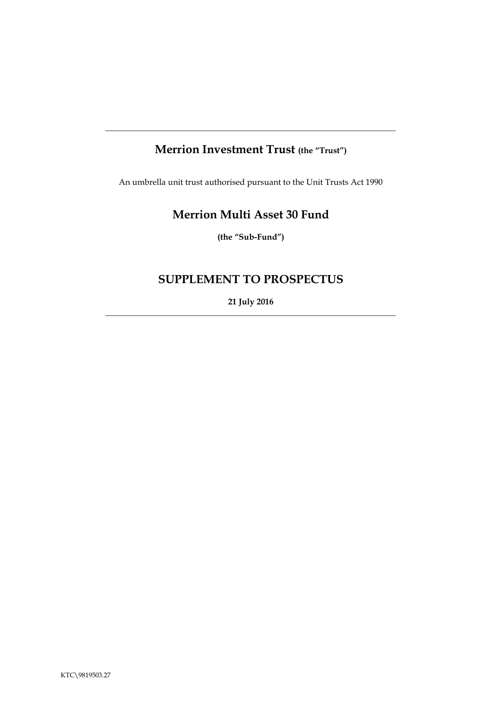# **Merrion Investment Trust (the "Trust")**

**\_\_\_\_\_\_\_\_\_\_\_\_\_\_\_\_\_\_\_\_\_\_\_\_\_\_\_\_\_\_\_\_\_\_\_\_\_\_\_\_\_\_\_\_\_\_\_\_\_\_\_\_\_\_\_\_\_\_\_\_\_\_\_\_\_\_\_\_\_**

An umbrella unit trust authorised pursuant to the Unit Trusts Act 1990

# **Merrion Multi Asset 30 Fund**

**(the "Sub-Fund")**

# **SUPPLEMENT TO PROSPECTUS**

**21 July 2016**  $\_$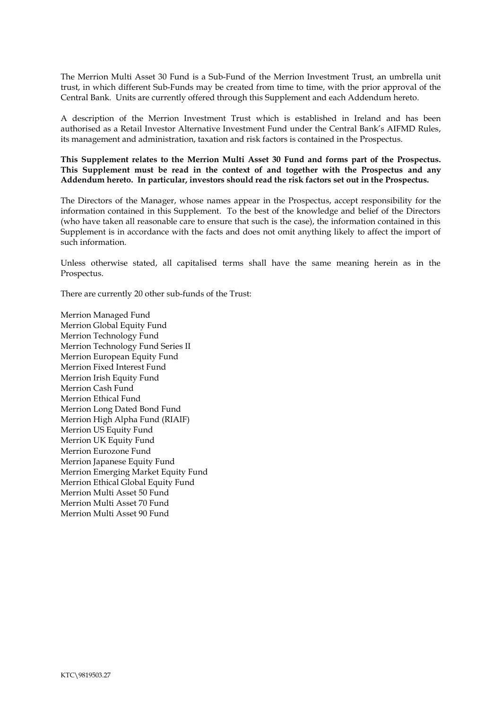The Merrion Multi Asset 30 Fund is a Sub-Fund of the Merrion Investment Trust, an umbrella unit trust, in which different Sub-Funds may be created from time to time, with the prior approval of the Central Bank. Units are currently offered through this Supplement and each Addendum hereto.

A description of the Merrion Investment Trust which is established in Ireland and has been authorised as a Retail Investor Alternative Investment Fund under the Central Bank's AIFMD Rules, its management and administration, taxation and risk factors is contained in the Prospectus.

**This Supplement relates to the Merrion Multi Asset 30 Fund and forms part of the Prospectus. This Supplement must be read in the context of and together with the Prospectus and any Addendum hereto. In particular, investors should read the risk factors set out in the Prospectus.** 

The Directors of the Manager, whose names appear in the Prospectus, accept responsibility for the information contained in this Supplement. To the best of the knowledge and belief of the Directors (who have taken all reasonable care to ensure that such is the case), the information contained in this Supplement is in accordance with the facts and does not omit anything likely to affect the import of such information.

Unless otherwise stated, all capitalised terms shall have the same meaning herein as in the Prospectus.

There are currently 20 other sub-funds of the Trust:

Merrion Managed Fund Merrion Global Equity Fund Merrion Technology Fund Merrion Technology Fund Series II Merrion European Equity Fund Merrion Fixed Interest Fund Merrion Irish Equity Fund Merrion Cash Fund Merrion Ethical Fund Merrion Long Dated Bond Fund Merrion High Alpha Fund (RIAIF) Merrion US Equity Fund Merrion UK Equity Fund Merrion Eurozone Fund Merrion Japanese Equity Fund Merrion Emerging Market Equity Fund Merrion Ethical Global Equity Fund Merrion Multi Asset 50 Fund Merrion Multi Asset 70 Fund Merrion Multi Asset 90 Fund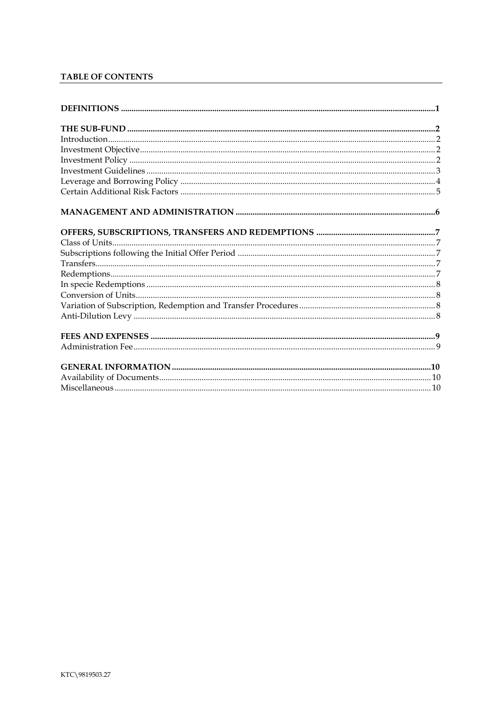# TABLE OF CONTENTS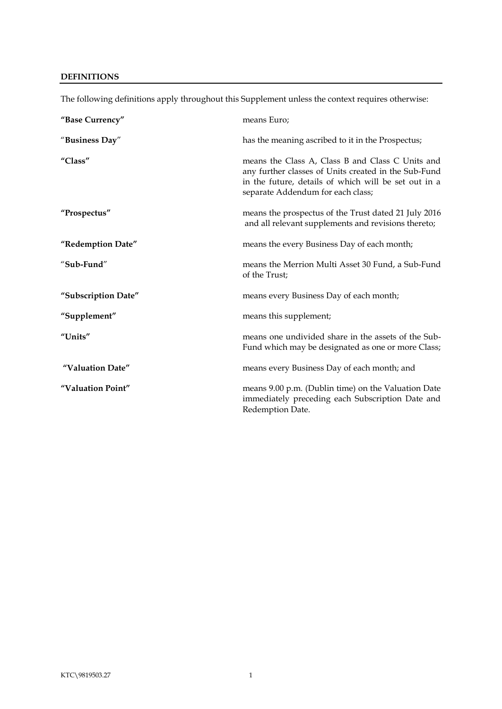## <span id="page-3-0"></span>**DEFINITIONS**

| "Base Currency"     | means Euro;                                                                                                                                                                                           |
|---------------------|-------------------------------------------------------------------------------------------------------------------------------------------------------------------------------------------------------|
| "Business Day"      | has the meaning ascribed to it in the Prospectus;                                                                                                                                                     |
| "Class"             | means the Class A, Class B and Class C Units and<br>any further classes of Units created in the Sub-Fund<br>in the future, details of which will be set out in a<br>separate Addendum for each class; |
| "Prospectus"        | means the prospectus of the Trust dated 21 July 2016<br>and all relevant supplements and revisions thereto;                                                                                           |
| "Redemption Date"   | means the every Business Day of each month;                                                                                                                                                           |
| "Sub-Fund"          | means the Merrion Multi Asset 30 Fund, a Sub-Fund<br>of the Trust;                                                                                                                                    |
| "Subscription Date" | means every Business Day of each month;                                                                                                                                                               |
| "Supplement"        | means this supplement;                                                                                                                                                                                |
| "Units"             | means one undivided share in the assets of the Sub-<br>Fund which may be designated as one or more Class;                                                                                             |
| "Valuation Date"    | means every Business Day of each month; and                                                                                                                                                           |
| "Valuation Point"   | means 9.00 p.m. (Dublin time) on the Valuation Date<br>immediately preceding each Subscription Date and<br>Redemption Date.                                                                           |

The following definitions apply throughout this Supplement unless the context requires otherwise: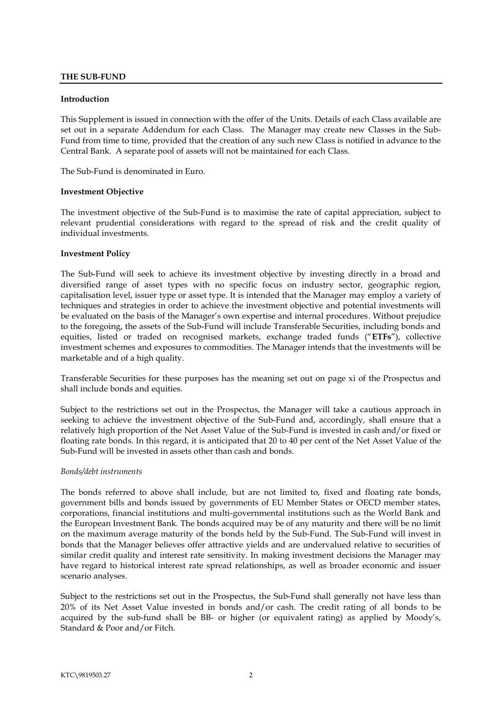### <span id="page-4-0"></span>**THE SUB-FUND**

#### <span id="page-4-1"></span>**Introduction**

This Supplement is issued in connection with the offer of the Units. Details of each Class available are set out in a separate Addendum for each Class. The Manager may create new Classes in the Sub-Fund from time to time, provided that the creation of any such new Class is notified in advance to the Central Bank. A separate pool of assets will not be maintained for each Class.

The Sub-Fund is denominated in Euro.

#### <span id="page-4-2"></span>**Investment Objective**

The investment objective of the Sub-Fund is to maximise the rate of capital appreciation, subject to relevant prudential considerations with regard to the spread of risk and the credit quality of individual investments.

#### <span id="page-4-3"></span>**Investment Policy**

The Sub-Fund will seek to achieve its investment objective by investing directly in a broad and diversified range of asset types with no specific focus on industry sector, geographic region, capitalisation level, issuer type or asset type. It is intended that the Manager may employ a variety of techniques and strategies in order to achieve the investment objective and potential investments will be evaluated on the basis of the Manager's own expertise and internal procedures. Without prejudice to the foregoing, the assets of the Sub-Fund will include Transferable Securities, including bonds and equities, listed or traded on recognised markets, exchange traded funds ("**ETFs**"), collective investment schemes and exposures to commodities. The Manager intends that the investments will be marketable and of a high quality.

Transferable Securities for these purposes has the meaning set out on page xi of the Prospectus and shall include bonds and equities.

Subject to the restrictions set out in the Prospectus, the Manager will take a cautious approach in seeking to achieve the investment objective of the Sub-Fund and, accordingly, shall ensure that a relatively high proportion of the Net Asset Value of the Sub-Fund is invested in cash and/or fixed or floating rate bonds. In this regard, it is anticipated that 20 to 40 per cent of the Net Asset Value of the Sub-Fund will be invested in assets other than cash and bonds.

#### *Bonds/debt instruments*

The bonds referred to above shall include, but are not limited to, fixed and floating rate bonds, government bills and bonds issued by governments of EU Member States or OECD member states, corporations, financial institutions and multi-governmental institutions such as the World Bank and the European Investment Bank. The bonds acquired may be of any maturity and there will be no limit on the maximum average maturity of the bonds held by the Sub-Fund. The Sub-Fund will invest in bonds that the Manager believes offer attractive yields and are undervalued relative to securities of similar credit quality and interest rate sensitivity. In making investment decisions the Manager may have regard to historical interest rate spread relationships, as well as broader economic and issuer scenario analyses.

Subject to the restrictions set out in the Prospectus, the Sub-Fund shall generally not have less than 20% of its Net Asset Value invested in bonds and/or cash. The credit rating of all bonds to be acquired by the sub-fund shall be BB- or higher (or equivalent rating) as applied by Moody's, Standard & Poor and/or Fitch.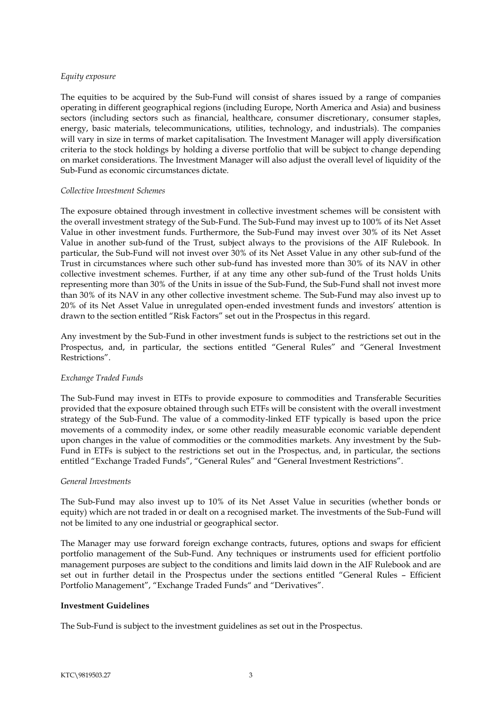#### *Equity exposure*

The equities to be acquired by the Sub-Fund will consist of shares issued by a range of companies operating in different geographical regions (including Europe, North America and Asia) and business sectors (including sectors such as financial, healthcare, consumer discretionary, consumer staples, energy, basic materials, telecommunications, utilities, technology, and industrials). The companies will vary in size in terms of market capitalisation. The Investment Manager will apply diversification criteria to the stock holdings by holding a diverse portfolio that will be subject to change depending on market considerations. The Investment Manager will also adjust the overall level of liquidity of the Sub-Fund as economic circumstances dictate.

#### *Collective Investment Schemes*

The exposure obtained through investment in collective investment schemes will be consistent with the overall investment strategy of the Sub-Fund. The Sub-Fund may invest up to 100% of its Net Asset Value in other investment funds. Furthermore, the Sub-Fund may invest over 30% of its Net Asset Value in another sub-fund of the Trust, subject always to the provisions of the AIF Rulebook. In particular, the Sub-Fund will not invest over 30% of its Net Asset Value in any other sub-fund of the Trust in circumstances where such other sub-fund has invested more than 30% of its NAV in other collective investment schemes. Further, if at any time any other sub-fund of the Trust holds Units representing more than 30% of the Units in issue of the Sub-Fund, the Sub-Fund shall not invest more than 30% of its NAV in any other collective investment scheme. The Sub-Fund may also invest up to 20% of its Net Asset Value in unregulated open-ended investment funds and investors' attention is drawn to the section entitled "Risk Factors" set out in the Prospectus in this regard.

Any investment by the Sub-Fund in other investment funds is subject to the restrictions set out in the Prospectus, and, in particular, the sections entitled "General Rules" and "General Investment Restrictions".

## *Exchange Traded Funds*

The Sub-Fund may invest in ETFs to provide exposure to commodities and Transferable Securities provided that the exposure obtained through such ETFs will be consistent with the overall investment strategy of the Sub-Fund. The value of a commodity-linked ETF typically is based upon the price movements of a commodity index, or some other readily measurable economic variable dependent upon changes in the value of commodities or the commodities markets. Any investment by the Sub-Fund in ETFs is subject to the restrictions set out in the Prospectus, and, in particular, the sections entitled "Exchange Traded Funds", "General Rules" and "General Investment Restrictions".

#### *General Investments*

The Sub-Fund may also invest up to 10% of its Net Asset Value in securities (whether bonds or equity) which are not traded in or dealt on a recognised market. The investments of the Sub-Fund will not be limited to any one industrial or geographical sector.

The Manager may use forward foreign exchange contracts, futures, options and swaps for efficient portfolio management of the Sub-Fund. Any techniques or instruments used for efficient portfolio management purposes are subject to the conditions and limits laid down in the AIF Rulebook and are set out in further detail in the Prospectus under the sections entitled "General Rules – Efficient Portfolio Management", "Exchange Traded Funds" and "Derivatives".

#### <span id="page-5-0"></span>**Investment Guidelines**

The Sub-Fund is subject to the investment guidelines as set out in the Prospectus.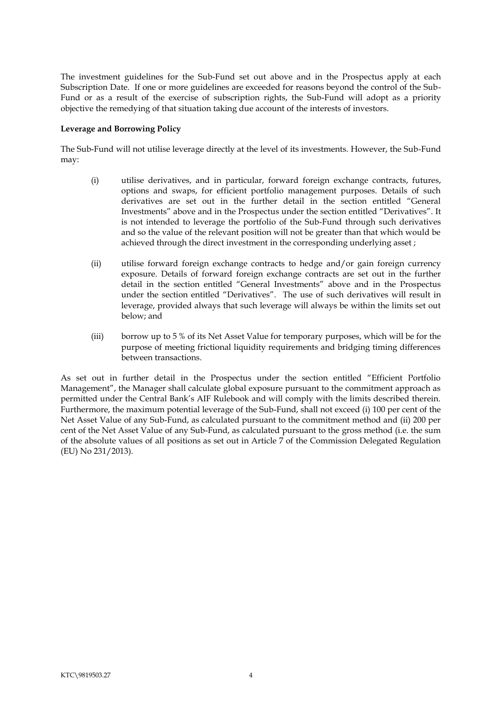The investment guidelines for the Sub-Fund set out above and in the Prospectus apply at each Subscription Date. If one or more guidelines are exceeded for reasons beyond the control of the Sub-Fund or as a result of the exercise of subscription rights, the Sub-Fund will adopt as a priority objective the remedying of that situation taking due account of the interests of investors.

#### **Leverage and Borrowing Policy**

The Sub-Fund will not utilise leverage directly at the level of its investments. However, the Sub-Fund may:

- <span id="page-6-0"></span>(i) utilise derivatives, and in particular, forward foreign exchange contracts, futures, options and swaps, for efficient portfolio management purposes. Details of such derivatives are set out in the further detail in the section entitled "General Investments" above and in the Prospectus under the section entitled "Derivatives". It is not intended to leverage the portfolio of the Sub-Fund through such derivatives and so the value of the relevant position will not be greater than that which would be achieved through the direct investment in the corresponding underlying asset ;
- (ii) utilise forward foreign exchange contracts to hedge and/or gain foreign currency exposure. Details of forward foreign exchange contracts are set out in the further detail in the section entitled "General Investments" above and in the Prospectus under the section entitled "Derivatives". The use of such derivatives will result in leverage, provided always that such leverage will always be within the limits set out below; and
- (iii) borrow up to 5 % of its Net Asset Value for temporary purposes, which will be for the purpose of meeting frictional liquidity requirements and bridging timing differences between transactions.

As set out in further detail in the Prospectus under the section entitled "Efficient Portfolio Management", the Manager shall calculate global exposure pursuant to the commitment approach as permitted under the Central Bank's AIF Rulebook and will comply with the limits described therein. Furthermore, the maximum potential leverage of the Sub-Fund, shall not exceed (i) 100 per cent of the Net Asset Value of any Sub-Fund, as calculated pursuant to the commitment method and (ii) 200 per cent of the Net Asset Value of any Sub-Fund, as calculated pursuant to the gross method (i.e. the sum of the absolute values of all positions as set out in Article 7 of the Commission Delegated Regulation (EU) No 231/2013).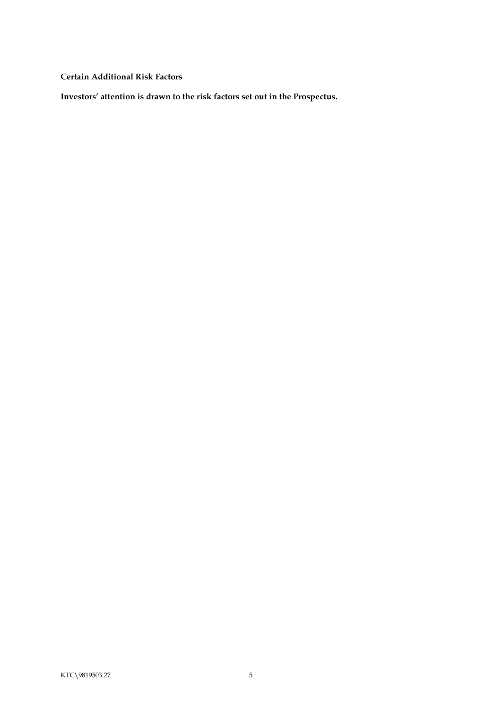<span id="page-7-0"></span>**Certain Additional Risk Factors**

**Investors' attention is drawn to the risk factors set out in the Prospectus.**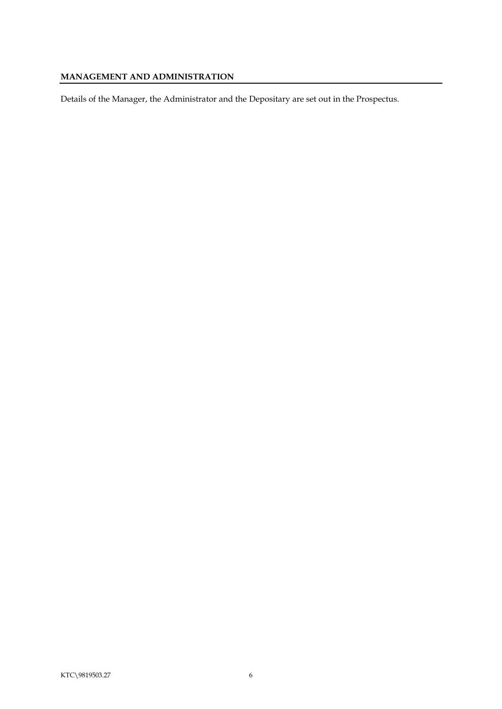# <span id="page-8-0"></span>**MANAGEMENT AND ADMINISTRATION**

Details of the Manager, the Administrator and the Depositary are set out in the Prospectus.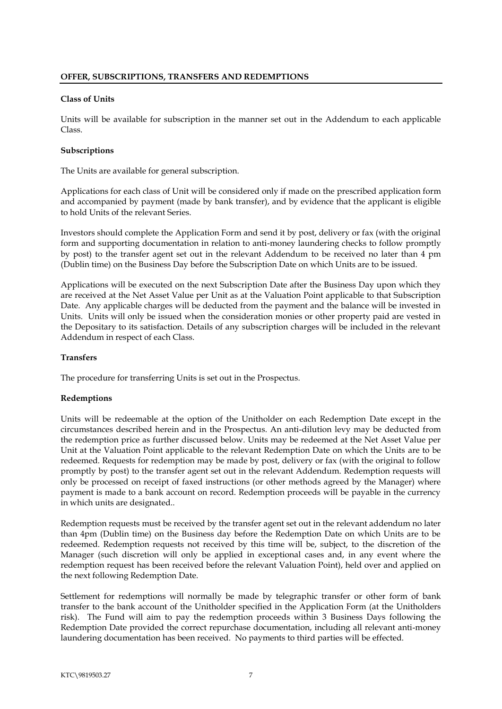#### <span id="page-9-1"></span><span id="page-9-0"></span>**Class of Units**

Units will be available for subscription in the manner set out in the Addendum to each applicable Class.

### <span id="page-9-2"></span>**Subscriptions**

The Units are available for general subscription.

Applications for each class of Unit will be considered only if made on the prescribed application form and accompanied by payment (made by bank transfer), and by evidence that the applicant is eligible to hold Units of the relevant Series.

Investors should complete the Application Form and send it by post, delivery or fax (with the original form and supporting documentation in relation to anti-money laundering checks to follow promptly by post) to the transfer agent set out in the relevant Addendum to be received no later than 4 pm (Dublin time) on the Business Day before the Subscription Date on which Units are to be issued.

Applications will be executed on the next Subscription Date after the Business Day upon which they are received at the Net Asset Value per Unit as at the Valuation Point applicable to that Subscription Date. Any applicable charges will be deducted from the payment and the balance will be invested in Units. Units will only be issued when the consideration monies or other property paid are vested in the Depositary to its satisfaction. Details of any subscription charges will be included in the relevant Addendum in respect of each Class.

### <span id="page-9-3"></span>**Transfers**

The procedure for transferring Units is set out in the Prospectus.

## <span id="page-9-4"></span>**Redemptions**

Units will be redeemable at the option of the Unitholder on each Redemption Date except in the circumstances described herein and in the Prospectus. An anti-dilution levy may be deducted from the redemption price as further discussed below. Units may be redeemed at the Net Asset Value per Unit at the Valuation Point applicable to the relevant Redemption Date on which the Units are to be redeemed. Requests for redemption may be made by post, delivery or fax (with the original to follow promptly by post) to the transfer agent set out in the relevant Addendum. Redemption requests will only be processed on receipt of faxed instructions (or other methods agreed by the Manager) where payment is made to a bank account on record. Redemption proceeds will be payable in the currency in which units are designated..

Redemption requests must be received by the transfer agent set out in the relevant addendum no later than 4pm (Dublin time) on the Business day before the Redemption Date on which Units are to be redeemed. Redemption requests not received by this time will be, subject, to the discretion of the Manager (such discretion will only be applied in exceptional cases and, in any event where the redemption request has been received before the relevant Valuation Point), held over and applied on the next following Redemption Date.

Settlement for redemptions will normally be made by telegraphic transfer or other form of bank transfer to the bank account of the Unitholder specified in the Application Form (at the Unitholders risk). The Fund will aim to pay the redemption proceeds within 3 Business Days following the Redemption Date provided the correct repurchase documentation, including all relevant anti-money laundering documentation has been received. No payments to third parties will be effected.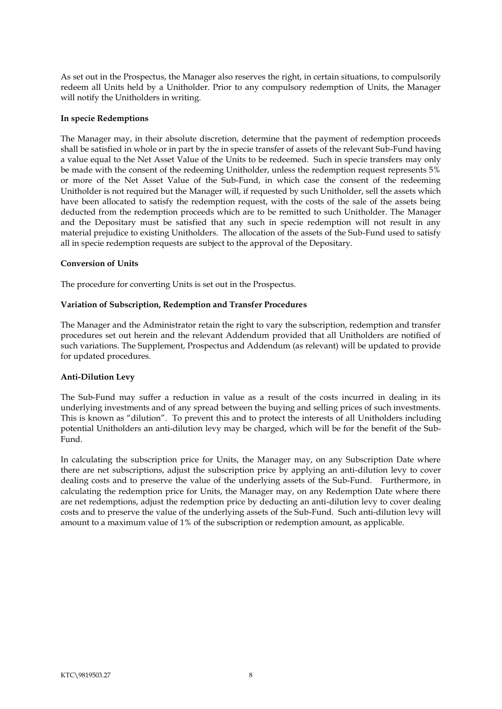As set out in the Prospectus, the Manager also reserves the right, in certain situations, to compulsorily redeem all Units held by a Unitholder. Prior to any compulsory redemption of Units, the Manager will notify the Unitholders in writing.

#### <span id="page-10-0"></span>**In specie Redemptions**

The Manager may, in their absolute discretion, determine that the payment of redemption proceeds shall be satisfied in whole or in part by the in specie transfer of assets of the relevant Sub-Fund having a value equal to the Net Asset Value of the Units to be redeemed. Such in specie transfers may only be made with the consent of the redeeming Unitholder, unless the redemption request represents 5% or more of the Net Asset Value of the Sub-Fund, in which case the consent of the redeeming Unitholder is not required but the Manager will, if requested by such Unitholder, sell the assets which have been allocated to satisfy the redemption request, with the costs of the sale of the assets being deducted from the redemption proceeds which are to be remitted to such Unitholder. The Manager and the Depositary must be satisfied that any such in specie redemption will not result in any material prejudice to existing Unitholders. The allocation of the assets of the Sub-Fund used to satisfy all in specie redemption requests are subject to the approval of the Depositary.

### <span id="page-10-1"></span>**Conversion of Units**

The procedure for converting Units is set out in the Prospectus.

#### <span id="page-10-2"></span>**Variation of Subscription, Redemption and Transfer Procedures**

The Manager and the Administrator retain the right to vary the subscription, redemption and transfer procedures set out herein and the relevant Addendum provided that all Unitholders are notified of such variations. The Supplement, Prospectus and Addendum (as relevant) will be updated to provide for updated procedures.

#### <span id="page-10-3"></span>**Anti-Dilution Levy**

The Sub-Fund may suffer a reduction in value as a result of the costs incurred in dealing in its underlying investments and of any spread between the buying and selling prices of such investments. This is known as "dilution". To prevent this and to protect the interests of all Unitholders including potential Unitholders an anti-dilution levy may be charged, which will be for the benefit of the Sub-Fund.

In calculating the subscription price for Units, the Manager may, on any Subscription Date where there are net subscriptions, adjust the subscription price by applying an anti-dilution levy to cover dealing costs and to preserve the value of the underlying assets of the Sub-Fund. Furthermore, in calculating the redemption price for Units, the Manager may, on any Redemption Date where there are net redemptions, adjust the redemption price by deducting an anti-dilution levy to cover dealing costs and to preserve the value of the underlying assets of the Sub-Fund. Such anti-dilution levy will amount to a maximum value of 1% of the subscription or redemption amount, as applicable.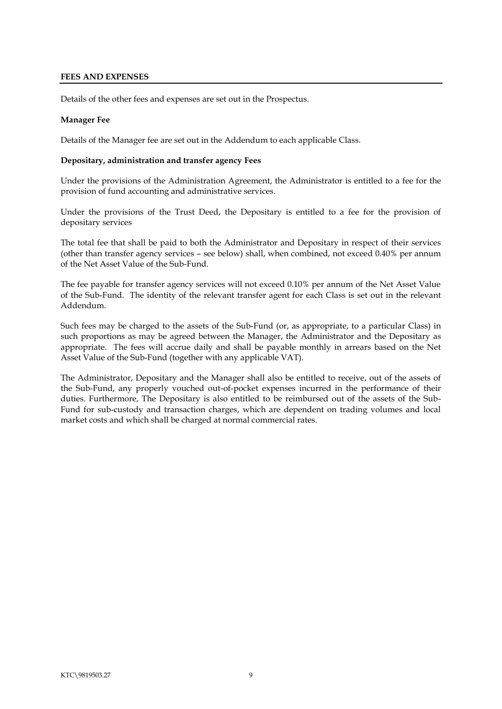### <span id="page-11-0"></span>**FEES AND EXPENSES**

Details of the other fees and expenses are set out in the Prospectus.

### **Manager Fee**

Details of the Manager fee are set out in the Addendum to each applicable Class.

#### <span id="page-11-1"></span>**Depositary, administration and transfer agency Fees**

Under the provisions of the Administration Agreement, the Administrator is entitled to a fee for the provision of fund accounting and administrative services.

Under the provisions of the Trust Deed, the Depositary is entitled to a fee for the provision of depositary services

The total fee that shall be paid to both the Administrator and Depositary in respect of their services (other than transfer agency services – see below) shall, when combined, not exceed 0.40% per annum of the Net Asset Value of the Sub-Fund.

The fee payable for transfer agency services will not exceed 0.10% per annum of the Net Asset Value of the Sub-Fund. The identity of the relevant transfer agent for each Class is set out in the relevant Addendum.

Such fees may be charged to the assets of the Sub-Fund (or, as appropriate, to a particular Class) in such proportions as may be agreed between the Manager, the Administrator and the Depositary as appropriate. The fees will accrue daily and shall be payable monthly in arrears based on the Net Asset Value of the Sub-Fund (together with any applicable VAT).

The Administrator, Depositary and the Manager shall also be entitled to receive, out of the assets of the Sub-Fund, any properly vouched out-of-pocket expenses incurred in the performance of their duties. Furthermore, The Depositary is also entitled to be reimbursed out of the assets of the Sub-Fund for sub-custody and transaction charges, which are dependent on trading volumes and local market costs and which shall be charged at normal commercial rates.